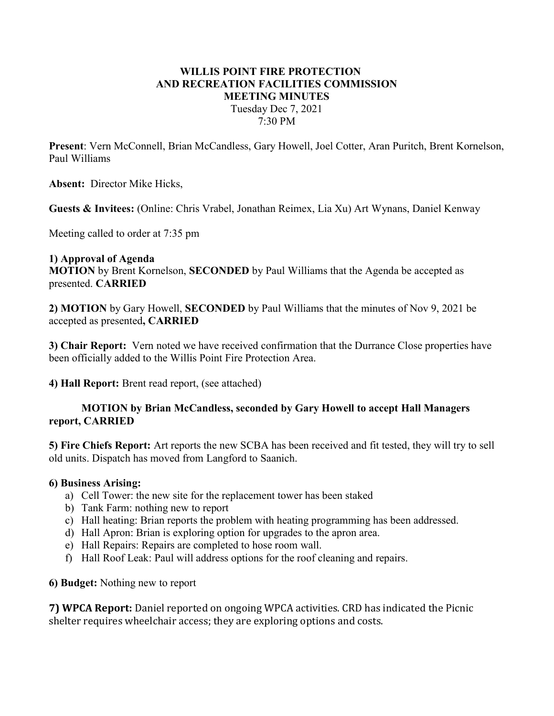# WILLIS POINT FIRE PROTECTION AND RECREATION FACILITIES COMMISSION MEETING MINUTES Tuesday Dec 7, 2021 7:30 PM

Present: Vern McConnell, Brian McCandless, Gary Howell, Joel Cotter, Aran Puritch, Brent Kornelson, Paul Williams

Absent: Director Mike Hicks,

Guests & Invitees: (Online: Chris Vrabel, Jonathan Reimex, Lia Xu) Art Wynans, Daniel Kenway

Meeting called to order at 7:35 pm

### 1) Approval of Agenda

MOTION by Brent Kornelson, SECONDED by Paul Williams that the Agenda be accepted as presented. CARRIED

2) MOTION by Gary Howell, SECONDED by Paul Williams that the minutes of Nov 9, 2021 be accepted as presented, CARRIED

3) Chair Report: Vern noted we have received confirmation that the Durrance Close properties have been officially added to the Willis Point Fire Protection Area.

4) Hall Report: Brent read report, (see attached)

### MOTION by Brian McCandless, seconded by Gary Howell to accept Hall Managers report, CARRIED

5) Fire Chiefs Report: Art reports the new SCBA has been received and fit tested, they will try to sell old units. Dispatch has moved from Langford to Saanich.

#### 6) Business Arising:

- a) Cell Tower: the new site for the replacement tower has been staked
- b) Tank Farm: nothing new to report
- c) Hall heating: Brian reports the problem with heating programming has been addressed.
- d) Hall Apron: Brian is exploring option for upgrades to the apron area.
- e) Hall Repairs: Repairs are completed to hose room wall.
- f) Hall Roof Leak: Paul will address options for the roof cleaning and repairs.

6) Budget: Nothing new to report

7) WPCA Report: Daniel reported on ongoing WPCA activities. CRD has indicated the Picnic shelter requires wheelchair access; they are exploring options and costs.